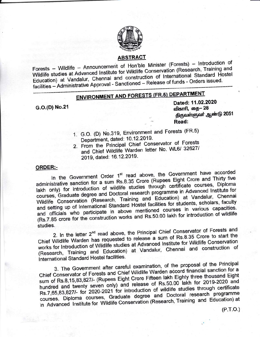

## **ABSTRACT**

Forests - Wildlife - Announcement of Hon'ble Minister (Forests) - Introduction of Wildlife studies at Advanced Institute for Wildlife Conservation (Research, Training and Education) at Vandalur, Chennai and construction of International Standard Hostel facilities - Administrative Approval - Sanctioned - Release of funds - Orders issued.

# **ENVIRONMENT AND FORESTS (FR.5) DEPARTMENT**

G.O.(D) No.21

Dated: 11.02.2020 விகாரி, தை– 28 திருவள்ளுவர் ஆண்டு 2051 Read:

- 1. G.O. (D) No.319, Environment and Forests (FR.5) Department, dated: 10.12.2019.
- 2. From the Principal Chief Conservator of Forests and Chief Wildlife Warden letter No. WL6/ 32627/ 2019, dated: 16.12.2019.

### **ORDER:-**

In the Government Order 1<sup>st</sup> read above, the Government have accorded administrative sanction for a sum Rs.8.35 Crore (Rupees Eight Crore and Thirty five lakh only) for introduction of wildlife studies through certificate courses, Diploma courses, Graduate degree and Doctoral research programme in Advanced Institute for Wildlife Conservation (Research, Training and Education) at Vandalur, Chennai and setting up of International Standard Hostel facilities for students, scholars, faculty and officials who participate in above mentioned courses in various capacities. (Rs.7.85 crore for the construction works and Rs.50.00 lakh for introduction of wildlife studies.

2. In the letter 2<sup>nd</sup> read above, the Principal Chief Conservator of Forests and Chief Wildlife Warden has requested to release a sum of Rs.8.35 Crore to start the works for Introduction of Wildlife studies at Advanced Institute for Wildlife Conservation (Research, Training and Education) at Vandalur, Chennai and construction of International Standard Hostel facilities.

3. The Government after careful examination, of the proposal of the Principal Chief Conservator of Forests and Chief Wildlife Warden accord financial sanction for a sum of Rs.8,15,83,827/- (Rupees Eight Crore Fifteen lakh Eighty three thousand Eight hundred and twenty seven only) and release of Rs.50.00 lakh for 2019-2020 and Rs.7,65,83,827/- for 2020-2021 for introduction of wildlife studies through certificate courses, Diploma courses, Graduate degree and Doctoral research programme in Advanced Institute for Wildlife Conservation (Research, Training and Education) at

 $(P.T.O.)$